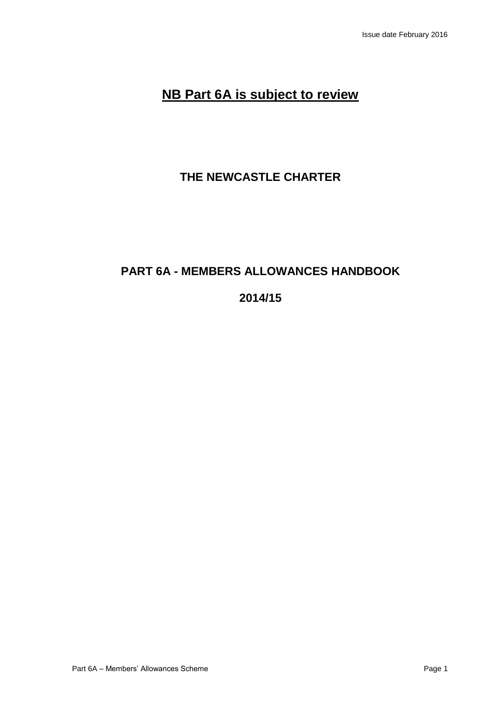# **NB Part 6A is subject to review**

# **THE NEWCASTLE CHARTER**

# **PART 6A - MEMBERS ALLOWANCES HANDBOOK**

# **2014/15**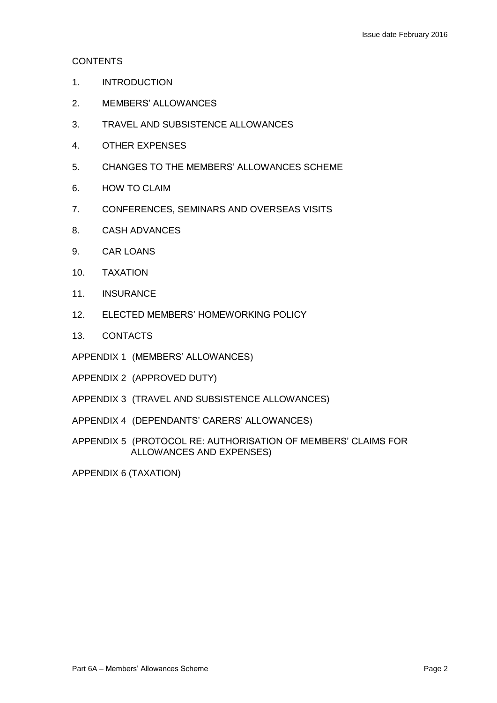# **CONTENTS**

- 1. INTRODUCTION
- 2. MEMBERS' ALLOWANCES
- 3. TRAVEL AND SUBSISTENCE ALLOWANCES
- 4. OTHER EXPENSES
- 5. CHANGES TO THE MEMBERS' ALLOWANCES SCHEME
- 6. HOW TO CLAIM
- 7. CONFERENCES, SEMINARS AND OVERSEAS VISITS
- 8. CASH ADVANCES
- 9. CAR LOANS
- 10. TAXATION
- 11. INSURANCE
- 12. ELECTED MEMBERS' HOMEWORKING POLICY
- 13. CONTACTS
- APPENDIX 1 (MEMBERS' ALLOWANCES)
- APPENDIX 2 (APPROVED DUTY)
- APPENDIX 3 (TRAVEL AND SUBSISTENCE ALLOWANCES)
- APPENDIX 4 (DEPENDANTS' CARERS' ALLOWANCES)
- APPENDIX 5 (PROTOCOL RE: AUTHORISATION OF MEMBERS' CLAIMS FOR ALLOWANCES AND EXPENSES)

APPENDIX 6 (TAXATION)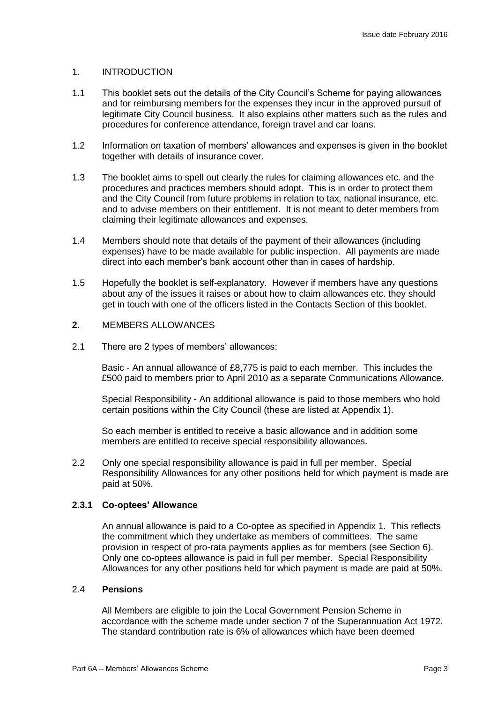#### 1. INTRODUCTION

- 1.1 This booklet sets out the details of the City Council's Scheme for paying allowances and for reimbursing members for the expenses they incur in the approved pursuit of legitimate City Council business. It also explains other matters such as the rules and procedures for conference attendance, foreign travel and car loans.
- 1.2 Information on taxation of members' allowances and expenses is given in the booklet together with details of insurance cover.
- 1.3 The booklet aims to spell out clearly the rules for claiming allowances etc. and the procedures and practices members should adopt. This is in order to protect them and the City Council from future problems in relation to tax, national insurance, etc. and to advise members on their entitlement. It is not meant to deter members from claiming their legitimate allowances and expenses.
- 1.4 Members should note that details of the payment of their allowances (including expenses) have to be made available for public inspection. All payments are made direct into each member's bank account other than in cases of hardship.
- 1.5 Hopefully the booklet is self-explanatory. However if members have any questions about any of the issues it raises or about how to claim allowances etc. they should get in touch with one of the officers listed in the Contacts Section of this booklet.
- **2.** MEMBERS ALLOWANCES
- 2.1 There are 2 types of members' allowances:

Basic - An annual allowance of £8,775 is paid to each member. This includes the £500 paid to members prior to April 2010 as a separate Communications Allowance.

Special Responsibility - An additional allowance is paid to those members who hold certain positions within the City Council (these are listed at Appendix 1).

So each member is entitled to receive a basic allowance and in addition some members are entitled to receive special responsibility allowances.

2.2 Only one special responsibility allowance is paid in full per member. Special Responsibility Allowances for any other positions held for which payment is made are paid at 50%.

# **2.3.1 Co-optees' Allowance**

An annual allowance is paid to a Co-optee as specified in Appendix 1. This reflects the commitment which they undertake as members of committees. The same provision in respect of pro-rata payments applies as for members (see Section 6). Only one co-optees allowance is paid in full per member. Special Responsibility Allowances for any other positions held for which payment is made are paid at 50%.

### 2.4 **Pensions**

All Members are eligible to join the Local Government Pension Scheme in accordance with the scheme made under section 7 of the Superannuation Act 1972. The standard contribution rate is 6% of allowances which have been deemed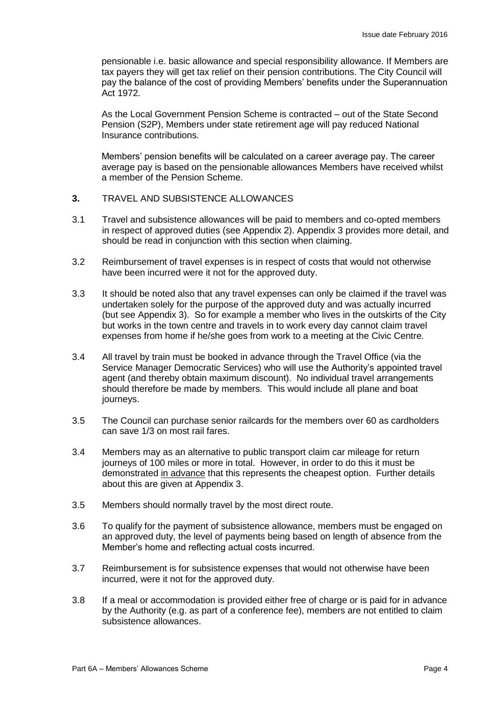pensionable i.e. basic allowance and special responsibility allowance. If Members are tax payers they will get tax relief on their pension contributions. The City Council will pay the balance of the cost of providing Members' benefits under the Superannuation Act 1972.

As the Local Government Pension Scheme is contracted – out of the State Second Pension (S2P), Members under state retirement age will pay reduced National Insurance contributions.

Members' pension benefits will be calculated on a career average pay. The career average pay is based on the pensionable allowances Members have received whilst a member of the Pension Scheme.

- **3.** TRAVEL AND SUBSISTENCE ALLOWANCES
- 3.1 Travel and subsistence allowances will be paid to members and co-opted members in respect of approved duties (see Appendix 2). Appendix 3 provides more detail, and should be read in conjunction with this section when claiming.
- 3.2 Reimbursement of travel expenses is in respect of costs that would not otherwise have been incurred were it not for the approved duty.
- 3.3 It should be noted also that any travel expenses can only be claimed if the travel was undertaken solely for the purpose of the approved duty and was actually incurred (but see Appendix 3). So for example a member who lives in the outskirts of the City but works in the town centre and travels in to work every day cannot claim travel expenses from home if he/she goes from work to a meeting at the Civic Centre.
- 3.4 All travel by train must be booked in advance through the Travel Office (via the Service Manager Democratic Services) who will use the Authority's appointed travel agent (and thereby obtain maximum discount). No individual travel arrangements should therefore be made by members. This would include all plane and boat journeys.
- 3.5 The Council can purchase senior railcards for the members over 60 as cardholders can save 1/3 on most rail fares.
- 3.4 Members may as an alternative to public transport claim car mileage for return journeys of 100 miles or more in total. However, in order to do this it must be demonstrated in advance that this represents the cheapest option. Further details about this are given at Appendix 3.
- 3.5 Members should normally travel by the most direct route.
- 3.6 To qualify for the payment of subsistence allowance, members must be engaged on an approved duty, the level of payments being based on length of absence from the Member's home and reflecting actual costs incurred.
- 3.7 Reimbursement is for subsistence expenses that would not otherwise have been incurred, were it not for the approved duty.
- 3.8 If a meal or accommodation is provided either free of charge or is paid for in advance by the Authority (e.g. as part of a conference fee), members are not entitled to claim subsistence allowances.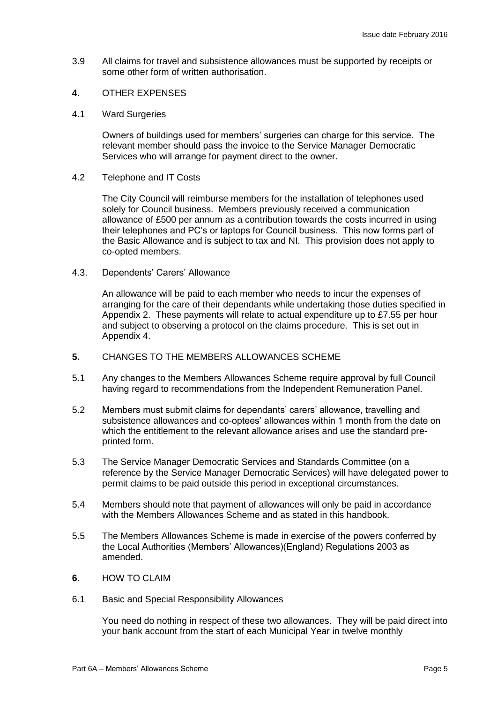- 3.9 All claims for travel and subsistence allowances must be supported by receipts or some other form of written authorisation.
- **4.** OTHER EXPENSES
- 4.1 Ward Surgeries

Owners of buildings used for members' surgeries can charge for this service. The relevant member should pass the invoice to the Service Manager Democratic Services who will arrange for payment direct to the owner.

4.2 Telephone and IT Costs

The City Council will reimburse members for the installation of telephones used solely for Council business. Members previously received a communication allowance of £500 per annum as a contribution towards the costs incurred in using their telephones and PC's or laptops for Council business. This now forms part of the Basic Allowance and is subject to tax and NI. This provision does not apply to co-opted members.

4.3. Dependents' Carers' Allowance

An allowance will be paid to each member who needs to incur the expenses of arranging for the care of their dependants while undertaking those duties specified in Appendix 2. These payments will relate to actual expenditure up to £7.55 per hour and subject to observing a protocol on the claims procedure. This is set out in Appendix 4.

- **5.** CHANGES TO THE MEMBERS ALLOWANCES SCHEME
- 5.1 Any changes to the Members Allowances Scheme require approval by full Council having regard to recommendations from the Independent Remuneration Panel.
- 5.2 Members must submit claims for dependants' carers' allowance, travelling and subsistence allowances and co-optees' allowances within 1 month from the date on which the entitlement to the relevant allowance arises and use the standard preprinted form.
- 5.3 The Service Manager Democratic Services and Standards Committee (on a reference by the Service Manager Democratic Services) will have delegated power to permit claims to be paid outside this period in exceptional circumstances.
- 5.4 Members should note that payment of allowances will only be paid in accordance with the Members Allowances Scheme and as stated in this handbook.
- 5.5 The Members Allowances Scheme is made in exercise of the powers conferred by the Local Authorities (Members' Allowances)(England) Regulations 2003 as amended.
- **6.** HOW TO CLAIM
- 6.1 Basic and Special Responsibility Allowances

You need do nothing in respect of these two allowances. They will be paid direct into your bank account from the start of each Municipal Year in twelve monthly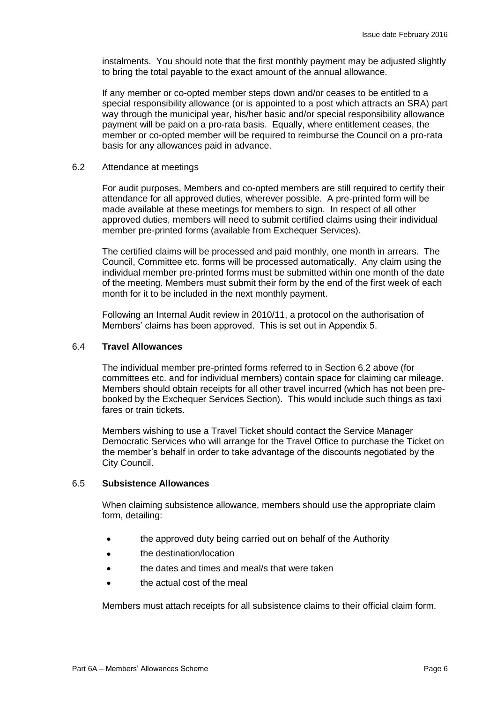instalments. You should note that the first monthly payment may be adjusted slightly to bring the total payable to the exact amount of the annual allowance.

If any member or co-opted member steps down and/or ceases to be entitled to a special responsibility allowance (or is appointed to a post which attracts an SRA) part way through the municipal year, his/her basic and/or special responsibility allowance payment will be paid on a pro-rata basis. Equally, where entitlement ceases, the member or co-opted member will be required to reimburse the Council on a pro-rata basis for any allowances paid in advance.

#### 6.2 Attendance at meetings

For audit purposes, Members and co-opted members are still required to certify their attendance for all approved duties, wherever possible. A pre-printed form will be made available at these meetings for members to sign. In respect of all other approved duties, members will need to submit certified claims using their individual member pre-printed forms (available from Exchequer Services).

The certified claims will be processed and paid monthly, one month in arrears. The Council, Committee etc. forms will be processed automatically. Any claim using the individual member pre-printed forms must be submitted within one month of the date of the meeting. Members must submit their form by the end of the first week of each month for it to be included in the next monthly payment.

Following an Internal Audit review in 2010/11, a protocol on the authorisation of Members' claims has been approved. This is set out in Appendix 5.

#### 6.4 **Travel Allowances**

The individual member pre-printed forms referred to in Section 6.2 above (for committees etc. and for individual members) contain space for claiming car mileage. Members should obtain receipts for all other travel incurred (which has not been prebooked by the Exchequer Services Section). This would include such things as taxi fares or train tickets.

Members wishing to use a Travel Ticket should contact the Service Manager Democratic Services who will arrange for the Travel Office to purchase the Ticket on the member's behalf in order to take advantage of the discounts negotiated by the City Council.

#### 6.5 **Subsistence Allowances**

When claiming subsistence allowance, members should use the appropriate claim form, detailing:

- the approved duty being carried out on behalf of the Authority
- **the destination/location**
- **the dates and times and meal**/s that were taken
- the actual cost of the meal

Members must attach receipts for all subsistence claims to their official claim form.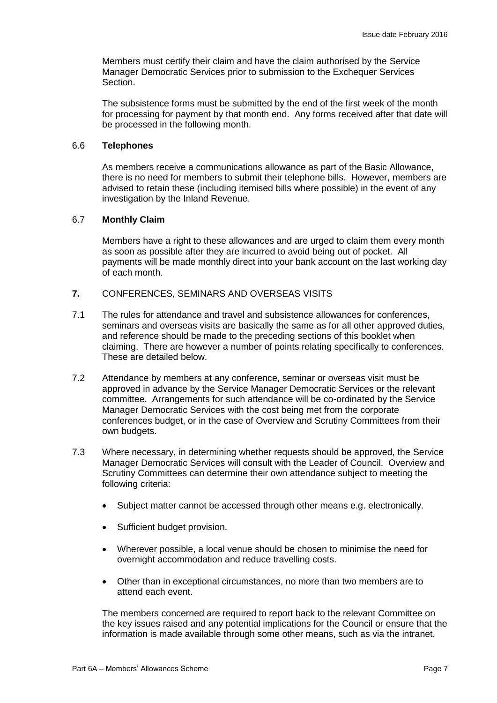Members must certify their claim and have the claim authorised by the Service Manager Democratic Services prior to submission to the Exchequer Services Section.

The subsistence forms must be submitted by the end of the first week of the month for processing for payment by that month end. Any forms received after that date will be processed in the following month.

### 6.6 **Telephones**

As members receive a communications allowance as part of the Basic Allowance, there is no need for members to submit their telephone bills. However, members are advised to retain these (including itemised bills where possible) in the event of any investigation by the Inland Revenue.

#### 6.7 **Monthly Claim**

Members have a right to these allowances and are urged to claim them every month as soon as possible after they are incurred to avoid being out of pocket. All payments will be made monthly direct into your bank account on the last working day of each month.

- **7.** CONFERENCES, SEMINARS AND OVERSEAS VISITS
- 7.1 The rules for attendance and travel and subsistence allowances for conferences, seminars and overseas visits are basically the same as for all other approved duties, and reference should be made to the preceding sections of this booklet when claiming. There are however a number of points relating specifically to conferences. These are detailed below.
- 7.2 Attendance by members at any conference, seminar or overseas visit must be approved in advance by the Service Manager Democratic Services or the relevant committee. Arrangements for such attendance will be co-ordinated by the Service Manager Democratic Services with the cost being met from the corporate conferences budget, or in the case of Overview and Scrutiny Committees from their own budgets.
- 7.3 Where necessary, in determining whether requests should be approved, the Service Manager Democratic Services will consult with the Leader of Council. Overview and Scrutiny Committees can determine their own attendance subject to meeting the following criteria:
	- Subject matter cannot be accessed through other means e.g. electronically.
	- Sufficient budget provision.
	- Wherever possible, a local venue should be chosen to minimise the need for overnight accommodation and reduce travelling costs.
	- Other than in exceptional circumstances, no more than two members are to attend each event.

The members concerned are required to report back to the relevant Committee on the key issues raised and any potential implications for the Council or ensure that the information is made available through some other means, such as via the intranet.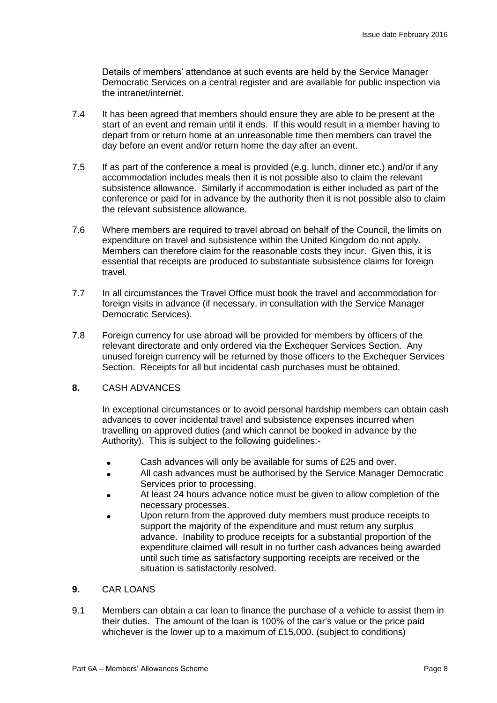Details of members' attendance at such events are held by the Service Manager Democratic Services on a central register and are available for public inspection via the intranet/internet.

- 7.4 It has been agreed that members should ensure they are able to be present at the start of an event and remain until it ends. If this would result in a member having to depart from or return home at an unreasonable time then members can travel the day before an event and/or return home the day after an event.
- 7.5 If as part of the conference a meal is provided (e.g. lunch, dinner etc.) and/or if any accommodation includes meals then it is not possible also to claim the relevant subsistence allowance. Similarly if accommodation is either included as part of the conference or paid for in advance by the authority then it is not possible also to claim the relevant subsistence allowance.
- 7.6 Where members are required to travel abroad on behalf of the Council, the limits on expenditure on travel and subsistence within the United Kingdom do not apply. Members can therefore claim for the reasonable costs they incur. Given this, it is essential that receipts are produced to substantiate subsistence claims for foreign travel.
- 7.7 In all circumstances the Travel Office must book the travel and accommodation for foreign visits in advance (if necessary, in consultation with the Service Manager Democratic Services).
- 7.8 Foreign currency for use abroad will be provided for members by officers of the relevant directorate and only ordered via the Exchequer Services Section. Any unused foreign currency will be returned by those officers to the Exchequer Services Section. Receipts for all but incidental cash purchases must be obtained.

# **8.** CASH ADVANCES

In exceptional circumstances or to avoid personal hardship members can obtain cash advances to cover incidental travel and subsistence expenses incurred when travelling on approved duties (and which cannot be booked in advance by the Authority). This is subject to the following guidelines:-

- Cash advances will only be available for sums of £25 and over.
- All cash advances must be authorised by the Service Manager Democratic Services prior to processing.
- At least 24 hours advance notice must be given to allow completion of the necessary processes.
- Upon return from the approved duty members must produce receipts to support the majority of the expenditure and must return any surplus advance. Inability to produce receipts for a substantial proportion of the expenditure claimed will result in no further cash advances being awarded until such time as satisfactory supporting receipts are received or the situation is satisfactorily resolved.

# **9.** CAR LOANS

9.1 Members can obtain a car loan to finance the purchase of a vehicle to assist them in their duties. The amount of the loan is 100% of the car's value or the price paid whichever is the lower up to a maximum of £15,000. (subject to conditions)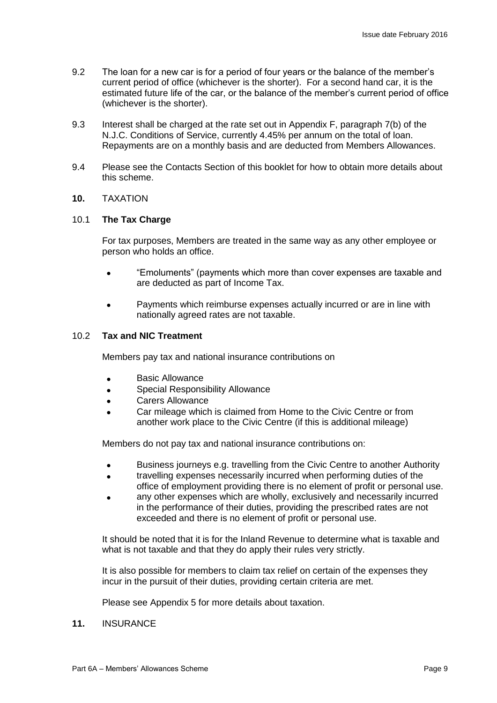- 9.2 The loan for a new car is for a period of four years or the balance of the member's current period of office (whichever is the shorter). For a second hand car, it is the estimated future life of the car, or the balance of the member's current period of office (whichever is the shorter).
- 9.3 Interest shall be charged at the rate set out in Appendix F, paragraph 7(b) of the N.J.C. Conditions of Service, currently 4.45% per annum on the total of loan. Repayments are on a monthly basis and are deducted from Members Allowances.
- 9.4 Please see the Contacts Section of this booklet for how to obtain more details about this scheme.

#### **10.** TAXATION

#### 10.1 **The Tax Charge**

For tax purposes, Members are treated in the same way as any other employee or person who holds an office.

- "Emoluments" (payments which more than cover expenses are taxable and are deducted as part of Income Tax.
- Payments which reimburse expenses actually incurred or are in line with nationally agreed rates are not taxable.

# 10.2 **Tax and NIC Treatment**

Members pay tax and national insurance contributions on

- **Basic Allowance**
- Special Responsibility Allowance
- Carers Allowance
- Car mileage which is claimed from Home to the Civic Centre or from another work place to the Civic Centre (if this is additional mileage)

Members do not pay tax and national insurance contributions on:

- Business journeys e.g. travelling from the Civic Centre to another Authority
- travelling expenses necessarily incurred when performing duties of the office of employment providing there is no element of profit or personal use.
- any other expenses which are wholly, exclusively and necessarily incurred in the performance of their duties, providing the prescribed rates are not exceeded and there is no element of profit or personal use.

It should be noted that it is for the Inland Revenue to determine what is taxable and what is not taxable and that they do apply their rules very strictly.

It is also possible for members to claim tax relief on certain of the expenses they incur in the pursuit of their duties, providing certain criteria are met.

Please see Appendix 5 for more details about taxation.

#### **11.** INSURANCE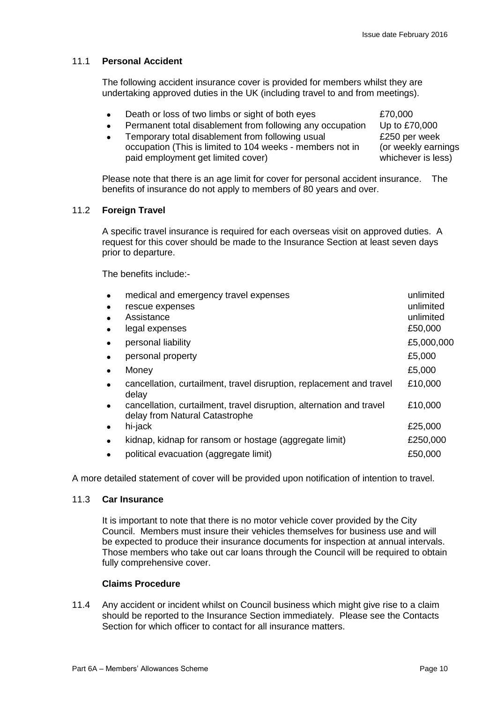# 11.1 **Personal Accident**

The following accident insurance cover is provided for members whilst they are undertaking approved duties in the UK (including travel to and from meetings).

- Death or loss of two limbs or sight of both eyes  $£70,000$
- Permanent total disablement from following any occupation Up to £70,000
- Temporary total disablement from following usual occupation (This is limited to 104 weeks - members not in paid employment get limited cover)

£250 per week (or weekly earnings whichever is less)

Please note that there is an age limit for cover for personal accident insurance. The benefits of insurance do not apply to members of 80 years and over.

# 11.2 **Foreign Travel**

A specific travel insurance is required for each overseas visit on approved duties. A request for this cover should be made to the Insurance Section at least seven days prior to departure.

The benefits include:-

| medical and emergency travel expenses<br>rescue expenses                                               | unlimited<br>unlimited |
|--------------------------------------------------------------------------------------------------------|------------------------|
| Assistance                                                                                             | unlimited              |
| legal expenses                                                                                         | £50,000                |
| personal liability                                                                                     | £5,000,000             |
| personal property                                                                                      | £5,000                 |
| Money                                                                                                  | £5,000                 |
| cancellation, curtailment, travel disruption, replacement and travel<br>delay                          | £10,000                |
| cancellation, curtailment, travel disruption, alternation and travel<br>delay from Natural Catastrophe | £10,000                |
| hi-jack                                                                                                | £25,000                |
| kidnap, kidnap for ransom or hostage (aggregate limit)                                                 | £250,000               |
| political evacuation (aggregate limit)                                                                 | £50,000                |

A more detailed statement of cover will be provided upon notification of intention to travel.

#### 11.3 **Car Insurance**

It is important to note that there is no motor vehicle cover provided by the City Council. Members must insure their vehicles themselves for business use and will be expected to produce their insurance documents for inspection at annual intervals. Those members who take out car loans through the Council will be required to obtain fully comprehensive cover.

# **Claims Procedure**

11.4 Any accident or incident whilst on Council business which might give rise to a claim should be reported to the Insurance Section immediately. Please see the Contacts Section for which officer to contact for all insurance matters.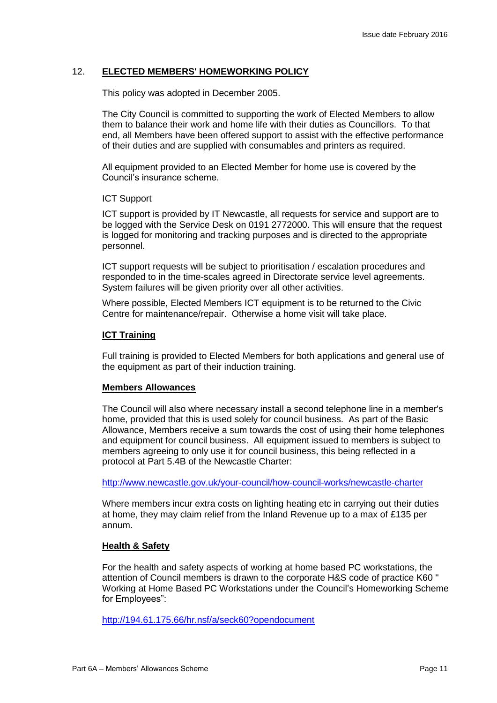### 12. **ELECTED MEMBERS' HOMEWORKING POLICY**

This policy was adopted in December 2005.

The City Council is committed to supporting the work of Elected Members to allow them to balance their work and home life with their duties as Councillors. To that end, all Members have been offered support to assist with the effective performance of their duties and are supplied with consumables and printers as required.

All equipment provided to an Elected Member for home use is covered by the Council's insurance scheme.

#### ICT Support

ICT support is provided by IT Newcastle, all requests for service and support are to be logged with the Service Desk on 0191 2772000. This will ensure that the request is logged for monitoring and tracking purposes and is directed to the appropriate personnel.

ICT support requests will be subject to prioritisation / escalation procedures and responded to in the time-scales agreed in Directorate service level agreements. System failures will be given priority over all other activities.

Where possible, Elected Members ICT equipment is to be returned to the Civic Centre for maintenance/repair. Otherwise a home visit will take place.

#### **ICT Training**

Full training is provided to Elected Members for both applications and general use of the equipment as part of their induction training.

#### **Members Allowances**

The Council will also where necessary install a second telephone line in a member's home, provided that this is used solely for council business. As part of the Basic Allowance, Members receive a sum towards the cost of using their home telephones and equipment for council business. All equipment issued to members is subject to members agreeing to only use it for council business, this being reflected in a protocol at Part 5.4B of the Newcastle Charter:

<http://www.newcastle.gov.uk/your-council/how-council-works/newcastle-charter>

Where members incur extra costs on lighting heating etc in carrying out their duties at home, they may claim relief from the Inland Revenue up to a max of £135 per annum.

# **Health & Safety**

For the health and safety aspects of working at home based PC workstations, the attention of Council members is drawn to the corporate H&S code of practice K60 '' Working at Home Based PC Workstations under the Council's Homeworking Scheme for Employees":

<http://194.61.175.66/hr.nsf/a/seck60?opendocument>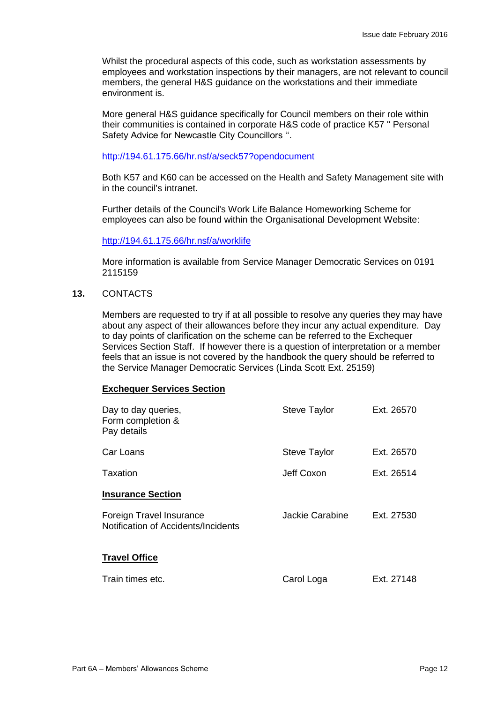Whilst the procedural aspects of this code, such as workstation assessments by employees and workstation inspections by their managers, are not relevant to council members, the general H&S guidance on the workstations and their immediate environment is.

More general H&S guidance specifically for Council members on their role within their communities is contained in corporate H&S code of practice K57 '' Personal Safety Advice for Newcastle City Councillors ''.

#### <http://194.61.175.66/hr.nsf/a/seck57?opendocument>

Both K57 and K60 can be accessed on the Health and Safety Management site with in the council's intranet.

Further details of the Council's Work Life Balance Homeworking Scheme for employees can also be found within the Organisational Development Website:

#### <http://194.61.175.66/hr.nsf/a/worklife>

More information is available from Service Manager Democratic Services on 0191 2115159

#### **13.** CONTACTS

Members are requested to try if at all possible to resolve any queries they may have about any aspect of their allowances before they incur any actual expenditure. Day to day points of clarification on the scheme can be referred to the Exchequer Services Section Staff. If however there is a question of interpretation or a member feels that an issue is not covered by the handbook the query should be referred to the Service Manager Democratic Services (Linda Scott Ext. 25159)

#### **Exchequer Services Section**

| Day to day queries,<br>Form completion &<br>Pay details         | <b>Steve Taylor</b> | Ext. 26570 |
|-----------------------------------------------------------------|---------------------|------------|
| Car Loans                                                       | <b>Steve Taylor</b> | Ext. 26570 |
| Taxation                                                        | Jeff Coxon          | Ext. 26514 |
| <b>Insurance Section</b>                                        |                     |            |
| Foreign Travel Insurance<br>Notification of Accidents/Incidents | Jackie Carabine     | Ext. 27530 |
| <b>Travel Office</b>                                            |                     |            |
| Train times etc.                                                | Carol Loga          | Ext. 27148 |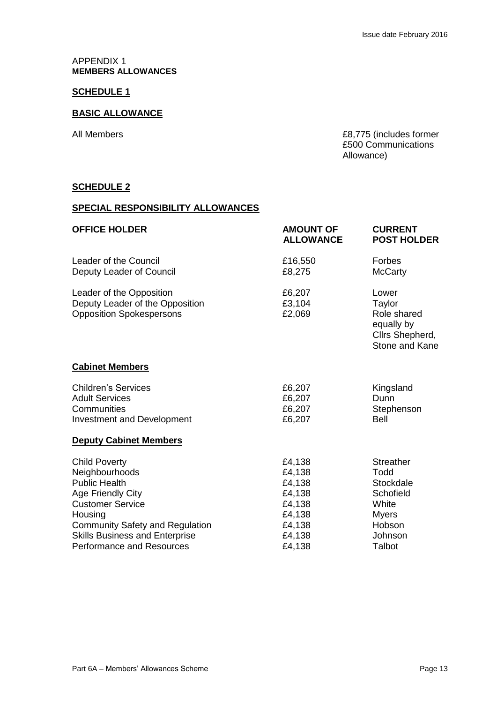#### APPENDIX 1 **MEMBERS ALLOWANCES**

# **SCHEDULE 1**

# **BASIC ALLOWANCE**

All Members **E8,775** (includes former £500 Communications Allowance)

#### **SCHEDULE 2**

#### **SPECIAL RESPONSIBILITY ALLOWANCES**

| <b>OFFICE HOLDER</b>                                                                                                                                                                                         | <b>AMOUNT OF</b><br><b>ALLOWANCE</b>                                         | <b>CURRENT</b><br><b>POST HOLDER</b>                                                             |
|--------------------------------------------------------------------------------------------------------------------------------------------------------------------------------------------------------------|------------------------------------------------------------------------------|--------------------------------------------------------------------------------------------------|
| Leader of the Council<br>Deputy Leader of Council                                                                                                                                                            | £16,550<br>£8,275                                                            | Forbes<br><b>McCarty</b>                                                                         |
| Leader of the Opposition<br>Deputy Leader of the Opposition<br><b>Opposition Spokespersons</b>                                                                                                               | £6,207<br>£3,104<br>£2,069                                                   | Lower<br>Taylor<br>Role shared<br>equally by<br>Cllrs Shepherd,<br>Stone and Kane                |
| <b>Cabinet Members</b>                                                                                                                                                                                       |                                                                              |                                                                                                  |
| <b>Children's Services</b><br><b>Adult Services</b><br>Communities<br>Investment and Development                                                                                                             | £6,207<br>£6,207<br>£6,207<br>£6,207                                         | Kingsland<br>Dunn<br>Stephenson<br><b>Bell</b>                                                   |
| <b>Deputy Cabinet Members</b>                                                                                                                                                                                |                                                                              |                                                                                                  |
| <b>Child Poverty</b><br>Neighbourhoods<br><b>Public Health</b><br>Age Friendly City<br><b>Customer Service</b><br>Housing<br><b>Community Safety and Regulation</b><br><b>Skills Business and Enterprise</b> | £4,138<br>£4,138<br>£4,138<br>£4,138<br>£4,138<br>£4,138<br>£4,138<br>£4,138 | <b>Streather</b><br>Todd<br>Stockdale<br>Schofield<br>White<br><b>Myers</b><br>Hobson<br>Johnson |
| <b>Performance and Resources</b>                                                                                                                                                                             | £4,138                                                                       | Talbot                                                                                           |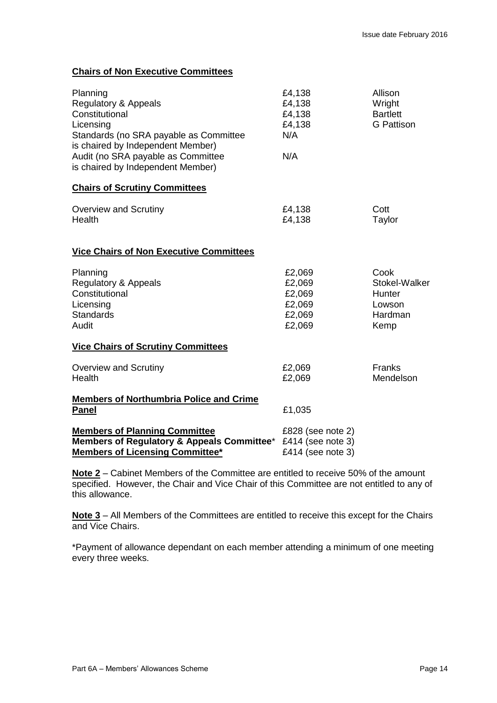# **Chairs of Non Executive Committees**

| Planning<br><b>Regulatory &amp; Appeals</b><br>Constitutional<br>Licensing<br>Standards (no SRA payable as Committee<br>is chaired by Independent Member)<br>Audit (no SRA payable as Committee<br>is chaired by Independent Member) | £4,138<br>£4,138<br>£4,138<br>£4,138<br>N/A<br>N/A            | Allison<br>Wright<br><b>Bartlett</b><br><b>G</b> Pattison    |
|--------------------------------------------------------------------------------------------------------------------------------------------------------------------------------------------------------------------------------------|---------------------------------------------------------------|--------------------------------------------------------------|
| <b>Chairs of Scrutiny Committees</b>                                                                                                                                                                                                 |                                                               |                                                              |
| <b>Overview and Scrutiny</b><br>Health                                                                                                                                                                                               | £4,138<br>£4,138                                              | Cott<br>Taylor                                               |
| <b>Vice Chairs of Non Executive Committees</b>                                                                                                                                                                                       |                                                               |                                                              |
| Planning<br><b>Regulatory &amp; Appeals</b><br>Constitutional<br>Licensing<br><b>Standards</b><br>Audit                                                                                                                              | £2,069<br>£2,069<br>£2,069<br>£2,069<br>£2,069<br>£2,069      | Cook<br>Stokel-Walker<br>Hunter<br>Lowson<br>Hardman<br>Kemp |
| <b>Vice Chairs of Scrutiny Committees</b>                                                                                                                                                                                            |                                                               |                                                              |
| <b>Overview and Scrutiny</b><br>Health                                                                                                                                                                                               | £2,069<br>£2,069                                              | Franks<br>Mendelson                                          |
| <b>Members of Northumbria Police and Crime</b><br><b>Panel</b>                                                                                                                                                                       | £1,035                                                        |                                                              |
| <b>Members of Planning Committee</b><br>Members of Regulatory & Appeals Committee*<br><b>Members of Licensing Committee*</b>                                                                                                         | £828 (see note 2)<br>£414 (see note $3)$<br>£414 (see note 3) |                                                              |

**Note 2** – Cabinet Members of the Committee are entitled to receive 50% of the amount specified. However, the Chair and Vice Chair of this Committee are not entitled to any of this allowance.

**Note 3** – All Members of the Committees are entitled to receive this except for the Chairs and Vice Chairs.

\*Payment of allowance dependant on each member attending a minimum of one meeting every three weeks.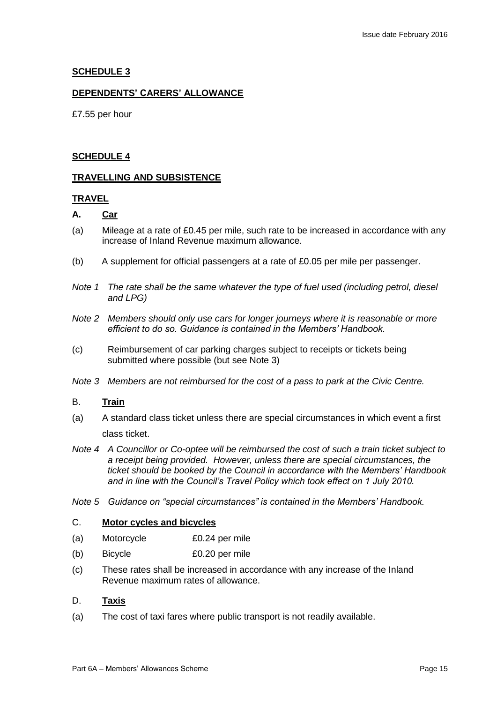# **SCHEDULE 3**

### **DEPENDENTS' CARERS' ALLOWANCE**

£7.55 per hour

#### **SCHEDULE 4**

#### **TRAVELLING AND SUBSISTENCE**

#### **TRAVEL**

# **A. Car**

- (a) Mileage at a rate of £0.45 per mile, such rate to be increased in accordance with any increase of Inland Revenue maximum allowance.
- (b) A supplement for official passengers at a rate of £0.05 per mile per passenger.
- *Note 1 The rate shall be the same whatever the type of fuel used (including petrol, diesel and LPG)*
- *Note 2 Members should only use cars for longer journeys where it is reasonable or more efficient to do so. Guidance is contained in the Members' Handbook.*
- (c) Reimbursement of car parking charges subject to receipts or tickets being submitted where possible (but see Note 3)
- *Note 3 Members are not reimbursed for the cost of a pass to park at the Civic Centre.*

#### B. **Train**

- (a) A standard class ticket unless there are special circumstances in which event a first class ticket.
- *Note 4 A Councillor or Co-optee will be reimbursed the cost of such a train ticket subject to a receipt being provided. However, unless there are special circumstances, the ticket should be booked by the Council in accordance with the Members' Handbook and in line with the Council's Travel Policy which took effect on 1 July 2010.*
- *Note 5 Guidance on "special circumstances" is contained in the Members' Handbook.*

#### C. **Motor cycles and bicycles**

- (a) Motorcycle £0.24 per mile
- (b) Bicycle £0.20 per mile
- (c) These rates shall be increased in accordance with any increase of the Inland Revenue maximum rates of allowance.

#### D. **Taxis**

(a) The cost of taxi fares where public transport is not readily available.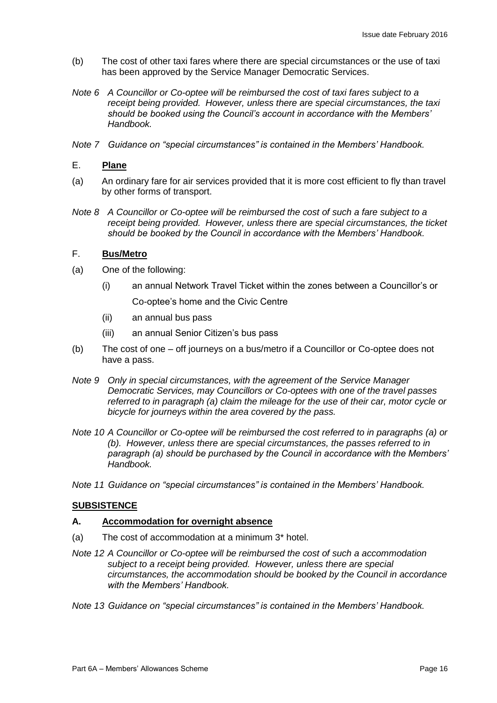- (b) The cost of other taxi fares where there are special circumstances or the use of taxi has been approved by the Service Manager Democratic Services.
- *Note 6 A Councillor or Co-optee will be reimbursed the cost of taxi fares subject to a receipt being provided. However, unless there are special circumstances, the taxi should be booked using the Council's account in accordance with the Members' Handbook.*
- *Note 7 Guidance on "special circumstances" is contained in the Members' Handbook.*

# E. **Plane**

- (a) An ordinary fare for air services provided that it is more cost efficient to fly than travel by other forms of transport.
- *Note 8 A Councillor or Co-optee will be reimbursed the cost of such a fare subject to a receipt being provided. However, unless there are special circumstances, the ticket should be booked by the Council in accordance with the Members' Handbook.*

# F. **Bus/Metro**

- (a) One of the following:
	- (i) an annual Network Travel Ticket within the zones between a Councillor's or Co-optee's home and the Civic Centre
	- (ii) an annual bus pass
	- (iii) an annual Senior Citizen's bus pass
- (b) The cost of one off journeys on a bus/metro if a Councillor or Co-optee does not have a pass.
- *Note 9 Only in special circumstances, with the agreement of the Service Manager Democratic Services, may Councillors or Co-optees with one of the travel passes referred to in paragraph (a) claim the mileage for the use of their car, motor cycle or bicycle for journeys within the area covered by the pass.*
- *Note 10 A Councillor or Co-optee will be reimbursed the cost referred to in paragraphs (a) or (b). However, unless there are special circumstances, the passes referred to in paragraph (a) should be purchased by the Council in accordance with the Members' Handbook.*
- *Note 11 Guidance on "special circumstances" is contained in the Members' Handbook.*

# **SUBSISTENCE**

#### **A. Accommodation for overnight absence**

- (a) The cost of accommodation at a minimum 3\* hotel.
- *Note 12 A Councillor or Co-optee will be reimbursed the cost of such a accommodation subject to a receipt being provided. However, unless there are special circumstances, the accommodation should be booked by the Council in accordance with the Members' Handbook.*

*Note 13 Guidance on "special circumstances" is contained in the Members' Handbook.*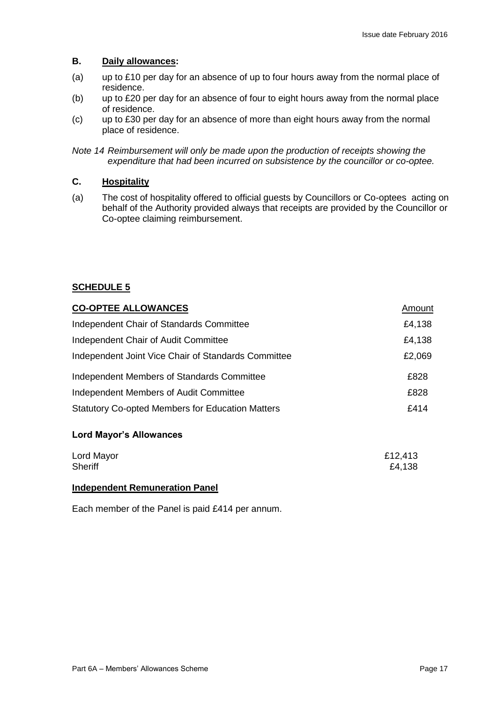# **B. Daily allowances:**

- (a) up to £10 per day for an absence of up to four hours away from the normal place of residence.
- (b) up to £20 per day for an absence of four to eight hours away from the normal place of residence.
- (c) up to £30 per day for an absence of more than eight hours away from the normal place of residence.
- *Note 14 Reimbursement will only be made upon the production of receipts showing the expenditure that had been incurred on subsistence by the councillor or co-optee.*

# **C. Hospitality**

(a) The cost of hospitality offered to official guests by Councillors or Co-optees acting on behalf of the Authority provided always that receipts are provided by the Councillor or Co-optee claiming reimbursement.

# **SCHEDULE 5**

| <b>CO-OPTEE ALLOWANCES</b>                              | Amount |
|---------------------------------------------------------|--------|
| Independent Chair of Standards Committee                | £4,138 |
| Independent Chair of Audit Committee                    | £4,138 |
| Independent Joint Vice Chair of Standards Committee     | £2,069 |
| Independent Members of Standards Committee              | £828   |
| Independent Members of Audit Committee                  | £828   |
| <b>Statutory Co-opted Members for Education Matters</b> | £414   |

# **Lord Mayor's Allowances**

| Lord Mayor     | £12,413 |
|----------------|---------|
| <b>Sheriff</b> | £4,138  |
|                |         |

# **Independent Remuneration Panel**

Each member of the Panel is paid £414 per annum.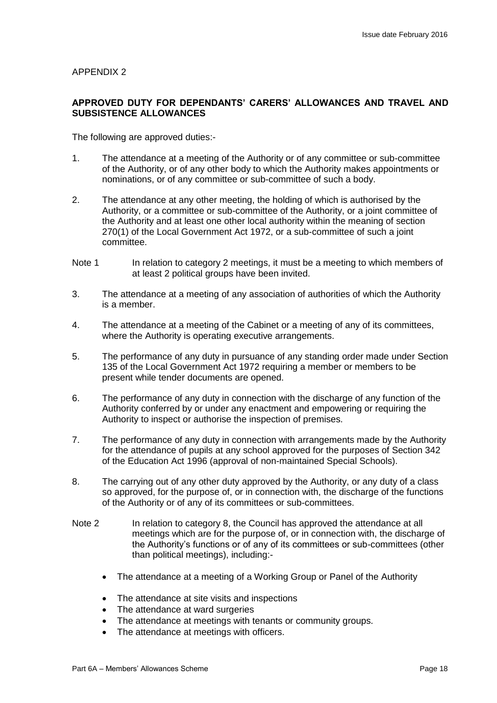#### **APPROVED DUTY FOR DEPENDANTS' CARERS' ALLOWANCES AND TRAVEL AND SUBSISTENCE ALLOWANCES**

The following are approved duties:-

- 1. The attendance at a meeting of the Authority or of any committee or sub-committee of the Authority, or of any other body to which the Authority makes appointments or nominations, or of any committee or sub-committee of such a body.
- 2. The attendance at any other meeting, the holding of which is authorised by the Authority, or a committee or sub-committee of the Authority, or a joint committee of the Authority and at least one other local authority within the meaning of section 270(1) of the Local Government Act 1972, or a sub-committee of such a joint committee.
- Note 1 In relation to category 2 meetings, it must be a meeting to which members of at least 2 political groups have been invited.
- 3. The attendance at a meeting of any association of authorities of which the Authority is a member.
- 4. The attendance at a meeting of the Cabinet or a meeting of any of its committees, where the Authority is operating executive arrangements.
- 5. The performance of any duty in pursuance of any standing order made under Section 135 of the Local Government Act 1972 requiring a member or members to be present while tender documents are opened.
- 6. The performance of any duty in connection with the discharge of any function of the Authority conferred by or under any enactment and empowering or requiring the Authority to inspect or authorise the inspection of premises.
- 7. The performance of any duty in connection with arrangements made by the Authority for the attendance of pupils at any school approved for the purposes of Section 342 of the Education Act 1996 (approval of non-maintained Special Schools).
- 8. The carrying out of any other duty approved by the Authority, or any duty of a class so approved, for the purpose of, or in connection with, the discharge of the functions of the Authority or of any of its committees or sub-committees.
- Note 2 In relation to category 8, the Council has approved the attendance at all meetings which are for the purpose of, or in connection with, the discharge of the Authority's functions or of any of its committees or sub-committees (other than political meetings), including:-
	- The attendance at a meeting of a Working Group or Panel of the Authority
	- The attendance at site visits and inspections
	- The attendance at ward surgeries
	- The attendance at meetings with tenants or community groups.
	- The attendance at meetings with officers.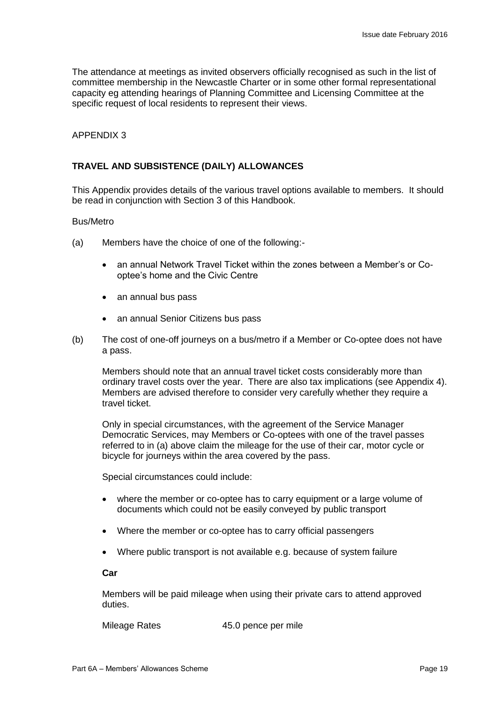The attendance at meetings as invited observers officially recognised as such in the list of committee membership in the Newcastle Charter or in some other formal representational capacity eg attending hearings of Planning Committee and Licensing Committee at the specific request of local residents to represent their views.

#### APPENDIX 3

# **TRAVEL AND SUBSISTENCE (DAILY) ALLOWANCES**

This Appendix provides details of the various travel options available to members. It should be read in conjunction with Section 3 of this Handbook.

#### Bus/Metro

- (a) Members have the choice of one of the following:
	- an annual Network Travel Ticket within the zones between a Member's or Cooptee's home and the Civic Centre
	- an annual bus pass
	- an annual Senior Citizens bus pass
- (b) The cost of one-off journeys on a bus/metro if a Member or Co-optee does not have a pass.

Members should note that an annual travel ticket costs considerably more than ordinary travel costs over the year. There are also tax implications (see Appendix 4). Members are advised therefore to consider very carefully whether they require a travel ticket.

Only in special circumstances, with the agreement of the Service Manager Democratic Services, may Members or Co-optees with one of the travel passes referred to in (a) above claim the mileage for the use of their car, motor cycle or bicycle for journeys within the area covered by the pass.

Special circumstances could include:

- where the member or co-optee has to carry equipment or a large volume of documents which could not be easily conveyed by public transport
- Where the member or co-optee has to carry official passengers
- Where public transport is not available e.g. because of system failure

#### **Car**

Members will be paid mileage when using their private cars to attend approved duties.

Mileage Rates 45.0 pence per mile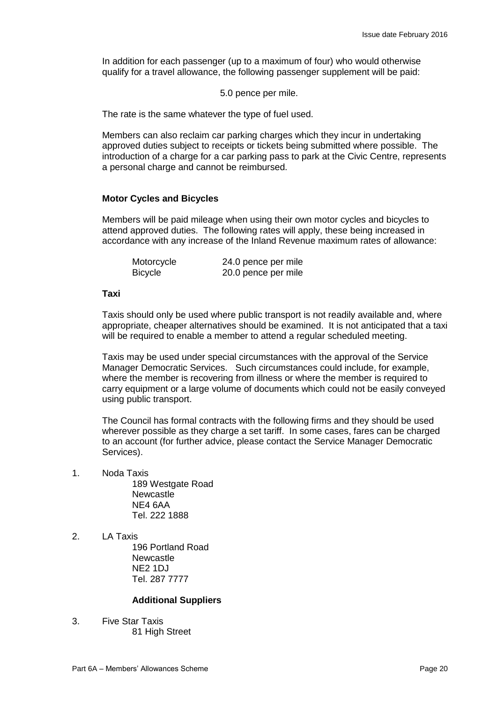In addition for each passenger (up to a maximum of four) who would otherwise qualify for a travel allowance, the following passenger supplement will be paid:

5.0 pence per mile.

The rate is the same whatever the type of fuel used.

Members can also reclaim car parking charges which they incur in undertaking approved duties subject to receipts or tickets being submitted where possible. The introduction of a charge for a car parking pass to park at the Civic Centre, represents a personal charge and cannot be reimbursed.

# **Motor Cycles and Bicycles**

Members will be paid mileage when using their own motor cycles and bicycles to attend approved duties. The following rates will apply, these being increased in accordance with any increase of the Inland Revenue maximum rates of allowance:

| Motorcycle | 24.0 pence per mile |
|------------|---------------------|
| Bicycle    | 20.0 pence per mile |

#### **Taxi**

Taxis should only be used where public transport is not readily available and, where appropriate, cheaper alternatives should be examined. It is not anticipated that a taxi will be required to enable a member to attend a regular scheduled meeting.

Taxis may be used under special circumstances with the approval of the Service Manager Democratic Services. Such circumstances could include, for example, where the member is recovering from illness or where the member is required to carry equipment or a large volume of documents which could not be easily conveyed using public transport.

The Council has formal contracts with the following firms and they should be used wherever possible as they charge a set tariff. In some cases, fares can be charged to an account (for further advice, please contact the Service Manager Democratic Services).

1. Noda Taxis

189 Westgate Road **Newcastle** NE4 6AA Tel. 222 1888

2. LA Taxis 196 Portland Road **Newcastle** NE2 1DJ Tel. 287 7777

# **Additional Suppliers**

3. Five Star Taxis 81 High Street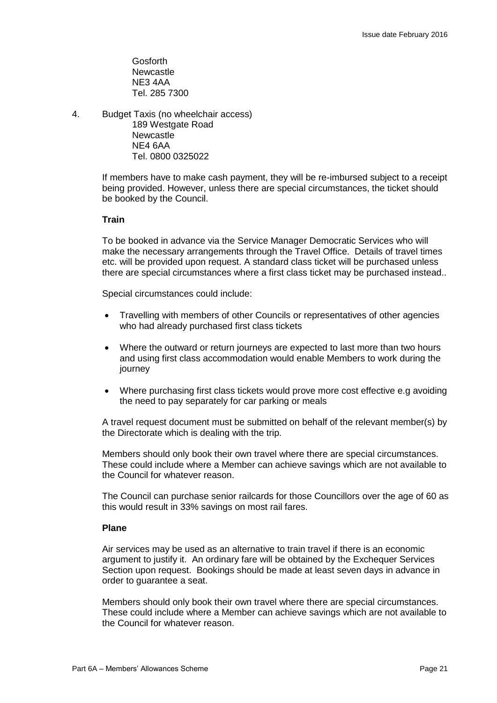Gosforth **Newcastle** NE3 4AA Tel. 285 7300

4. Budget Taxis (no wheelchair access) 189 Westgate Road

Newcastle NE4 6AA Tel. 0800 0325022

If members have to make cash payment, they will be re-imbursed subject to a receipt being provided. However, unless there are special circumstances, the ticket should be booked by the Council.

# **Train**

To be booked in advance via the Service Manager Democratic Services who will make the necessary arrangements through the Travel Office. Details of travel times etc. will be provided upon request. A standard class ticket will be purchased unless there are special circumstances where a first class ticket may be purchased instead..

Special circumstances could include:

- Travelling with members of other Councils or representatives of other agencies who had already purchased first class tickets
- Where the outward or return journeys are expected to last more than two hours and using first class accommodation would enable Members to work during the journey
- Where purchasing first class tickets would prove more cost effective e.g avoiding the need to pay separately for car parking or meals

A travel request document must be submitted on behalf of the relevant member(s) by the Directorate which is dealing with the trip.

Members should only book their own travel where there are special circumstances. These could include where a Member can achieve savings which are not available to the Council for whatever reason.

The Council can purchase senior railcards for those Councillors over the age of 60 as this would result in 33% savings on most rail fares.

# **Plane**

Air services may be used as an alternative to train travel if there is an economic argument to justify it. An ordinary fare will be obtained by the Exchequer Services Section upon request. Bookings should be made at least seven days in advance in order to guarantee a seat.

Members should only book their own travel where there are special circumstances. These could include where a Member can achieve savings which are not available to the Council for whatever reason.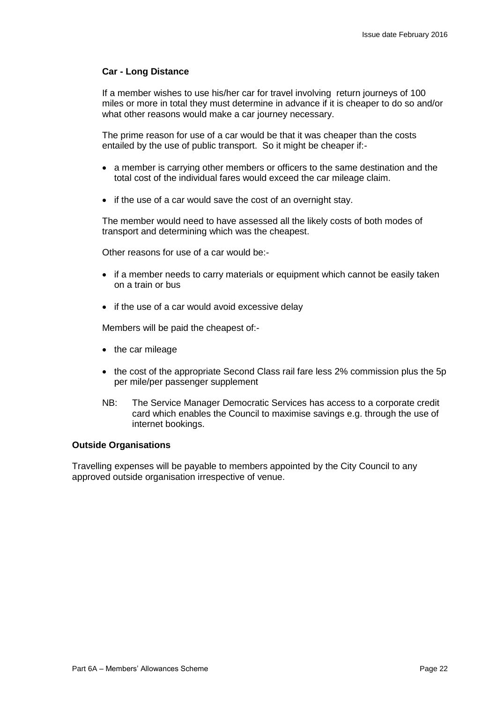### **Car - Long Distance**

If a member wishes to use his/her car for travel involving return journeys of 100 miles or more in total they must determine in advance if it is cheaper to do so and/or what other reasons would make a car journey necessary.

The prime reason for use of a car would be that it was cheaper than the costs entailed by the use of public transport. So it might be cheaper if:-

- a member is carrying other members or officers to the same destination and the total cost of the individual fares would exceed the car mileage claim.
- if the use of a car would save the cost of an overnight stay.

The member would need to have assessed all the likely costs of both modes of transport and determining which was the cheapest.

Other reasons for use of a car would be:-

- if a member needs to carry materials or equipment which cannot be easily taken on a train or bus
- if the use of a car would avoid excessive delay

Members will be paid the cheapest of:-

- the car mileage
- the cost of the appropriate Second Class rail fare less 2% commission plus the 5p per mile/per passenger supplement
- NB: The Service Manager Democratic Services has access to a corporate credit card which enables the Council to maximise savings e.g. through the use of internet bookings.

#### **Outside Organisations**

Travelling expenses will be payable to members appointed by the City Council to any approved outside organisation irrespective of venue.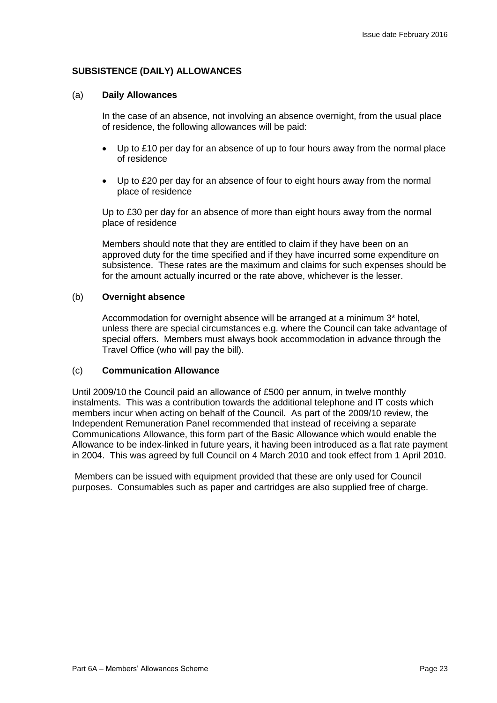# **SUBSISTENCE (DAILY) ALLOWANCES**

#### (a) **Daily Allowances**

In the case of an absence, not involving an absence overnight, from the usual place of residence, the following allowances will be paid:

- Up to £10 per day for an absence of up to four hours away from the normal place of residence
- Up to £20 per day for an absence of four to eight hours away from the normal place of residence

Up to £30 per day for an absence of more than eight hours away from the normal place of residence

Members should note that they are entitled to claim if they have been on an approved duty for the time specified and if they have incurred some expenditure on subsistence. These rates are the maximum and claims for such expenses should be for the amount actually incurred or the rate above, whichever is the lesser.

### (b) **Overnight absence**

Accommodation for overnight absence will be arranged at a minimum 3\* hotel, unless there are special circumstances e.g. where the Council can take advantage of special offers. Members must always book accommodation in advance through the Travel Office (who will pay the bill).

#### (c) **Communication Allowance**

Until 2009/10 the Council paid an allowance of £500 per annum, in twelve monthly instalments. This was a contribution towards the additional telephone and IT costs which members incur when acting on behalf of the Council. As part of the 2009/10 review, the Independent Remuneration Panel recommended that instead of receiving a separate Communications Allowance, this form part of the Basic Allowance which would enable the Allowance to be index-linked in future years, it having been introduced as a flat rate payment in 2004. This was agreed by full Council on 4 March 2010 and took effect from 1 April 2010.

Members can be issued with equipment provided that these are only used for Council purposes. Consumables such as paper and cartridges are also supplied free of charge.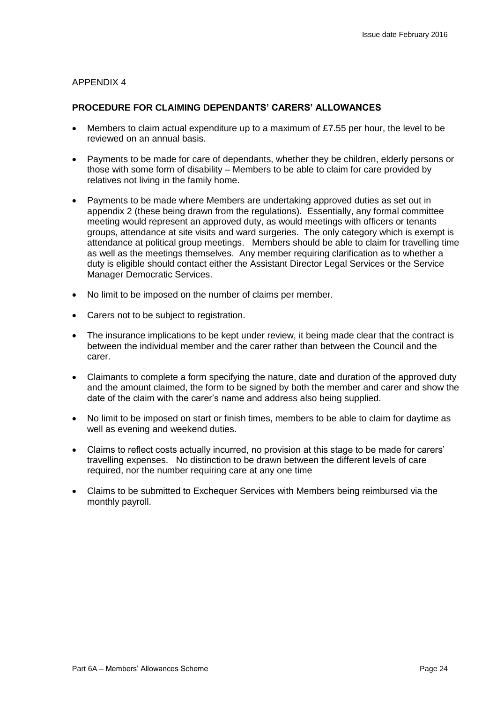### **PROCEDURE FOR CLAIMING DEPENDANTS' CARERS' ALLOWANCES**

- Members to claim actual expenditure up to a maximum of £7.55 per hour, the level to be reviewed on an annual basis.
- Payments to be made for care of dependants, whether they be children, elderly persons or those with some form of disability – Members to be able to claim for care provided by relatives not living in the family home.
- Payments to be made where Members are undertaking approved duties as set out in appendix 2 (these being drawn from the regulations). Essentially, any formal committee meeting would represent an approved duty, as would meetings with officers or tenants groups, attendance at site visits and ward surgeries. The only category which is exempt is attendance at political group meetings. Members should be able to claim for travelling time as well as the meetings themselves. Any member requiring clarification as to whether a duty is eligible should contact either the Assistant Director Legal Services or the Service Manager Democratic Services.
- No limit to be imposed on the number of claims per member.
- Carers not to be subject to registration.
- The insurance implications to be kept under review, it being made clear that the contract is between the individual member and the carer rather than between the Council and the carer.
- Claimants to complete a form specifying the nature, date and duration of the approved duty and the amount claimed, the form to be signed by both the member and carer and show the date of the claim with the carer's name and address also being supplied.
- No limit to be imposed on start or finish times, members to be able to claim for daytime as well as evening and weekend duties.
- Claims to reflect costs actually incurred, no provision at this stage to be made for carers' travelling expenses. No distinction to be drawn between the different levels of care required, nor the number requiring care at any one time
- Claims to be submitted to Exchequer Services with Members being reimbursed via the monthly payroll.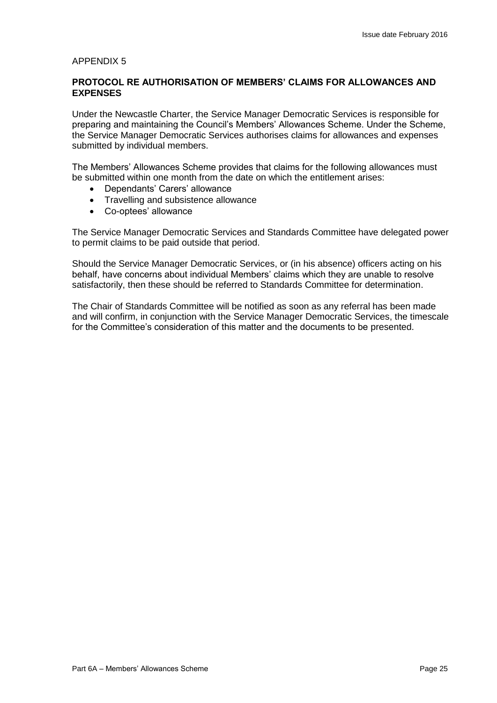# **PROTOCOL RE AUTHORISATION OF MEMBERS' CLAIMS FOR ALLOWANCES AND EXPENSES**

Under the Newcastle Charter, the Service Manager Democratic Services is responsible for preparing and maintaining the Council's Members' Allowances Scheme. Under the Scheme, the Service Manager Democratic Services authorises claims for allowances and expenses submitted by individual members.

The Members' Allowances Scheme provides that claims for the following allowances must be submitted within one month from the date on which the entitlement arises:

- Dependants' Carers' allowance
- Travelling and subsistence allowance
- Co-optees' allowance

The Service Manager Democratic Services and Standards Committee have delegated power to permit claims to be paid outside that period.

Should the Service Manager Democratic Services, or (in his absence) officers acting on his behalf, have concerns about individual Members' claims which they are unable to resolve satisfactorily, then these should be referred to Standards Committee for determination.

The Chair of Standards Committee will be notified as soon as any referral has been made and will confirm, in conjunction with the Service Manager Democratic Services, the timescale for the Committee's consideration of this matter and the documents to be presented.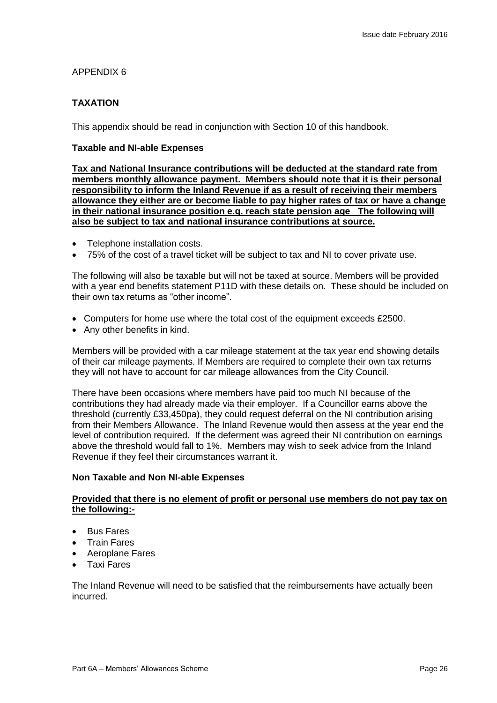# **TAXATION**

This appendix should be read in conjunction with Section 10 of this handbook.

#### **Taxable and NI-able Expenses**

**Tax and National Insurance contributions will be deducted at the standard rate from members monthly allowance payment. Members should note that it is their personal responsibility to inform the Inland Revenue if as a result of receiving their members allowance they either are or become liable to pay higher rates of tax or have a change in their national insurance position e.g. reach state pension age The following will also be subject to tax and national insurance contributions at source.**

- Telephone installation costs.
- 75% of the cost of a travel ticket will be subject to tax and NI to cover private use.

The following will also be taxable but will not be taxed at source. Members will be provided with a year end benefits statement P11D with these details on. These should be included on their own tax returns as "other income".

- Computers for home use where the total cost of the equipment exceeds £2500.
- Any other benefits in kind.

Members will be provided with a car mileage statement at the tax year end showing details of their car mileage payments. If Members are required to complete their own tax returns they will not have to account for car mileage allowances from the City Council.

There have been occasions where members have paid too much NI because of the contributions they had already made via their employer. If a Councillor earns above the threshold (currently £33,450pa), they could request deferral on the NI contribution arising from their Members Allowance. The Inland Revenue would then assess at the year end the level of contribution required. If the deferment was agreed their NI contribution on earnings above the threshold would fall to 1%. Members may wish to seek advice from the Inland Revenue if they feel their circumstances warrant it.

#### **Non Taxable and Non NI-able Expenses**

#### **Provided that there is no element of profit or personal use members do not pay tax on the following:-**

- Bus Fares
- Train Fares
- Aeroplane Fares
- Taxi Fares

The Inland Revenue will need to be satisfied that the reimbursements have actually been incurred.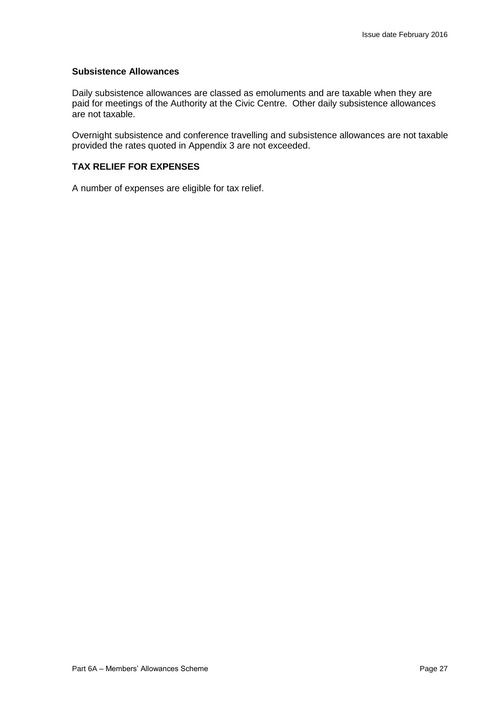#### **Subsistence Allowances**

Daily subsistence allowances are classed as emoluments and are taxable when they are paid for meetings of the Authority at the Civic Centre. Other daily subsistence allowances are not taxable.

Overnight subsistence and conference travelling and subsistence allowances are not taxable provided the rates quoted in Appendix 3 are not exceeded.

# **TAX RELIEF FOR EXPENSES**

A number of expenses are eligible for tax relief.